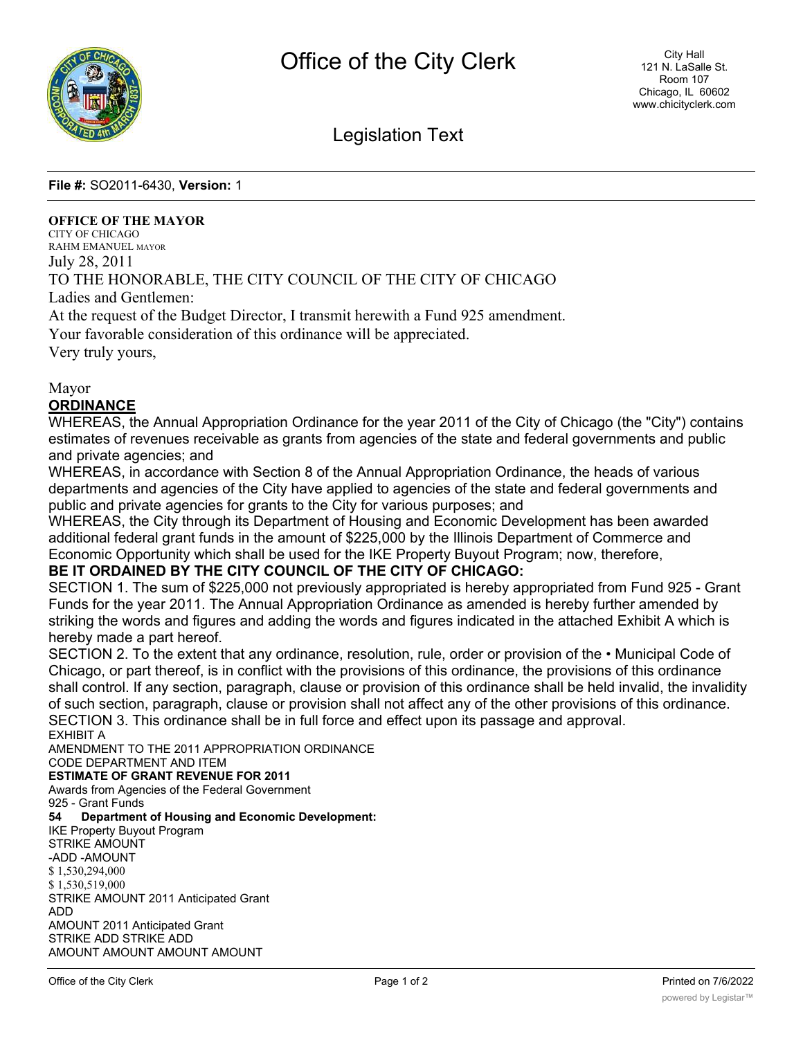

# Legislation Text

**File #:** SO2011-6430, **Version:** 1

### **OFFICE OF THE MAYOR**

CITY OF CHICAGO RAHM EMANUEL MAYOR July 28, 2011 TO THE HONORABLE, THE CITY COUNCIL OF THE CITY OF CHICAGO Ladies and Gentlemen:

At the request of the Budget Director, I transmit herewith a Fund 925 amendment.

Your favorable consideration of this ordinance will be appreciated.

Very truly yours,

#### Mayor

**ORDINANCE**

WHEREAS, the Annual Appropriation Ordinance for the year 2011 of the City of Chicago (the "City") contains estimates of revenues receivable as grants from agencies of the state and federal governments and public and private agencies; and

WHEREAS, in accordance with Section 8 of the Annual Appropriation Ordinance, the heads of various departments and agencies of the City have applied to agencies of the state and federal governments and public and private agencies for grants to the City for various purposes; and

WHEREAS, the City through its Department of Housing and Economic Development has been awarded additional federal grant funds in the amount of \$225,000 by the Illinois Department of Commerce and Economic Opportunity which shall be used for the IKE Property Buyout Program; now, therefore,

## **BE IT ORDAINED BY THE CITY COUNCIL OF THE CITY OF CHICAGO:**

SECTION 1. The sum of \$225,000 not previously appropriated is hereby appropriated from Fund 925 - Grant Funds for the year 2011. The Annual Appropriation Ordinance as amended is hereby further amended by striking the words and figures and adding the words and figures indicated in the attached Exhibit A which is hereby made a part hereof.

SECTION 2. To the extent that any ordinance, resolution, rule, order or provision of the • Municipal Code of Chicago, or part thereof, is in conflict with the provisions of this ordinance, the provisions of this ordinance shall control. If any section, paragraph, clause or provision of this ordinance shall be held invalid, the invalidity of such section, paragraph, clause or provision shall not affect any of the other provisions of this ordinance. SECTION 3. This ordinance shall be in full force and effect upon its passage and approval.

EXHIBIT A AMENDMENT TO THE 2011 APPROPRIATION ORDINANCE CODE DEPARTMENT AND ITEM **ESTIMATE OF GRANT REVENUE FOR 2011** Awards from Agencies of the Federal Government 925 - Grant Funds

**54 Department of Housing and Economic Development:** IKE Property Buyout Program STRIKE AMOUNT -ADD -AMOUNT \$ 1,530,294,000 \$ 1,530,519,000 STRIKE AMOUNT 2011 Anticipated Grant ADD AMOUNT 2011 Anticipated Grant STRIKE ADD STRIKE ADD AMOUNT AMOUNT AMOUNT AMOUNT